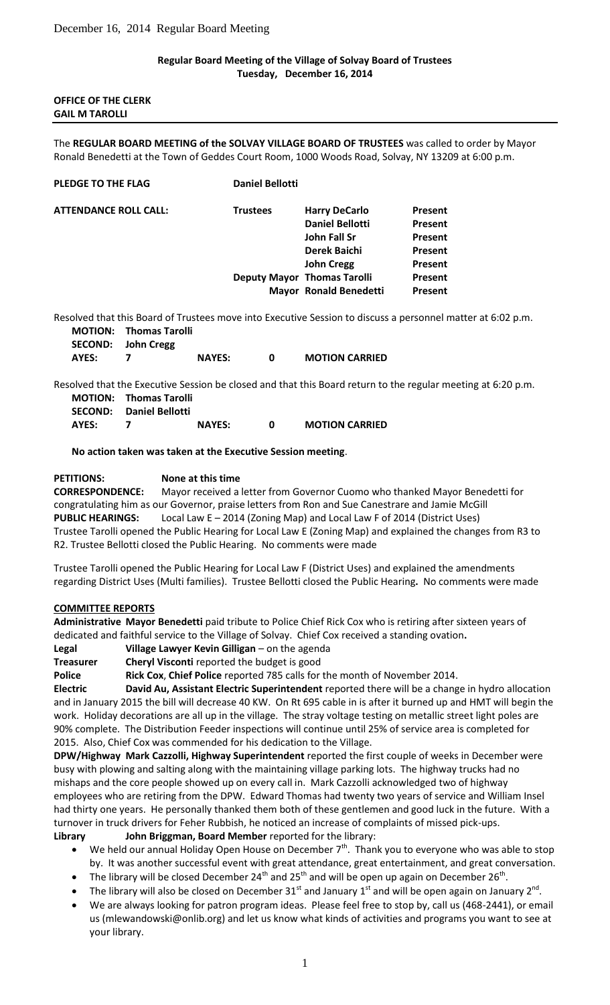## **Regular Board Meeting of the Village of Solvay Board of Trustees Tuesday, December 16, 2014**

## **OFFICE OF THE CLERK GAIL M TAROLLI**

The **REGULAR BOARD MEETING of the SOLVAY VILLAGE BOARD OF TRUSTEES** was called to order by Mayor Ronald Benedetti at the Town of Geddes Court Room, 1000 Woods Road, Solvay, NY 13209 at 6:00 p.m.

| <b>PLEDGE TO THE FLAG</b>    | <b>Daniel Bellotti</b> |                                    |                |
|------------------------------|------------------------|------------------------------------|----------------|
| <b>ATTENDANCE ROLL CALL:</b> | <b>Trustees</b>        | <b>Harry DeCarlo</b>               | <b>Present</b> |
|                              |                        | <b>Daniel Bellotti</b>             | Present        |
|                              |                        | John Fall Sr                       | <b>Present</b> |
|                              |                        | Derek Baichi                       | <b>Present</b> |
|                              |                        | <b>John Cregg</b>                  | <b>Present</b> |
|                              |                        | <b>Deputy Mayor Thomas Tarolli</b> | <b>Present</b> |
|                              |                        | <b>Mayor Ronald Benedetti</b>      | <b>Present</b> |

Resolved that this Board of Trustees move into Executive Session to discuss a personnel matter at 6:02 p.m. **MOTION: Thomas Tarolli**

|       | SECOND: John Cregg |               |                       |
|-------|--------------------|---------------|-----------------------|
| AYES: |                    | <b>NAYES:</b> | <b>MOTION CARRIED</b> |

Resolved that the Executive Session be closed and that this Board return to the regular meeting at 6:20 p.m. **MOTION: Thomas Tarolli**

|       | <b>SECOND:</b> Daniel Bellotti |               |                       |
|-------|--------------------------------|---------------|-----------------------|
| AYES: |                                | <b>NAYES:</b> | <b>MOTION CARRIED</b> |

**No action taken was taken at the Executive Session meeting**.

## **PETITIONS: None at this time**

**CORRESPONDENCE:** Mayor received a letter from Governor Cuomo who thanked Mayor Benedetti for congratulating him as our Governor, praise letters from Ron and Sue Canestrare and Jamie McGill **PUBLIC HEARINGS:** Local Law E – 2014 (Zoning Map) and Local Law F of 2014 (District Uses) Trustee Tarolli opened the Public Hearing for Local Law E (Zoning Map) and explained the changes from R3 to R2. Trustee Bellotti closed the Public Hearing. No comments were made

Trustee Tarolli opened the Public Hearing for Local Law F (District Uses) and explained the amendments regarding District Uses (Multi families). Trustee Bellotti closed the Public Hearing**.** No comments were made

## **COMMITTEE REPORTS**

**Administrative Mayor Benedetti** paid tribute to Police Chief Rick Cox who is retiring after sixteen years of dedicated and faithful service to the Village of Solvay. Chief Cox received a standing ovation**.**

**Legal Village Lawyer Kevin Gilligan** – on the agenda

**Treasurer Cheryl Visconti** reported the budget is good

**Police Rick Cox**, **Chief Police** reported 785 calls for the month of November 2014.

**Electric David Au, Assistant Electric Superintendent** reported there will be a change in hydro allocation and in January 2015 the bill will decrease 40 KW. On Rt 695 cable in is after it burned up and HMT will begin the work. Holiday decorations are all up in the village. The stray voltage testing on metallic street light poles are 90% complete. The Distribution Feeder inspections will continue until 25% of service area is completed for 2015. Also, Chief Cox was commended for his dedication to the Village.

**DPW/Highway Mark Cazzolli, Highway Superintendent** reported the first couple of weeks in December were busy with plowing and salting along with the maintaining village parking lots. The highway trucks had no mishaps and the core people showed up on every call in. Mark Cazzolli acknowledged two of highway employees who are retiring from the DPW. Edward Thomas had twenty two years of service and William Insel had thirty one years. He personally thanked them both of these gentlemen and good luck in the future. With a turnover in truck drivers for Feher Rubbish, he noticed an increase of complaints of missed pick-ups.

**Library John Briggman, Board Member** reported for the library:

- We held our annual Holiday Open House on December 7<sup>th</sup>. Thank you to everyone who was able to stop by. It was another successful event with great attendance, great entertainment, and great conversation.
- The library will be closed December 24<sup>th</sup> and 25<sup>th</sup> and will be open up again on December 26<sup>th</sup>.
- The library will also be closed on December 31<sup>st</sup> and January 1<sup>st</sup> and will be open again on January 2<sup>nd</sup>.
- We are always looking for patron program ideas. Please feel free to stop by, call us (468-2441), or email us (mlewandowski@onlib.org) and let us know what kinds of activities and programs you want to see at your library.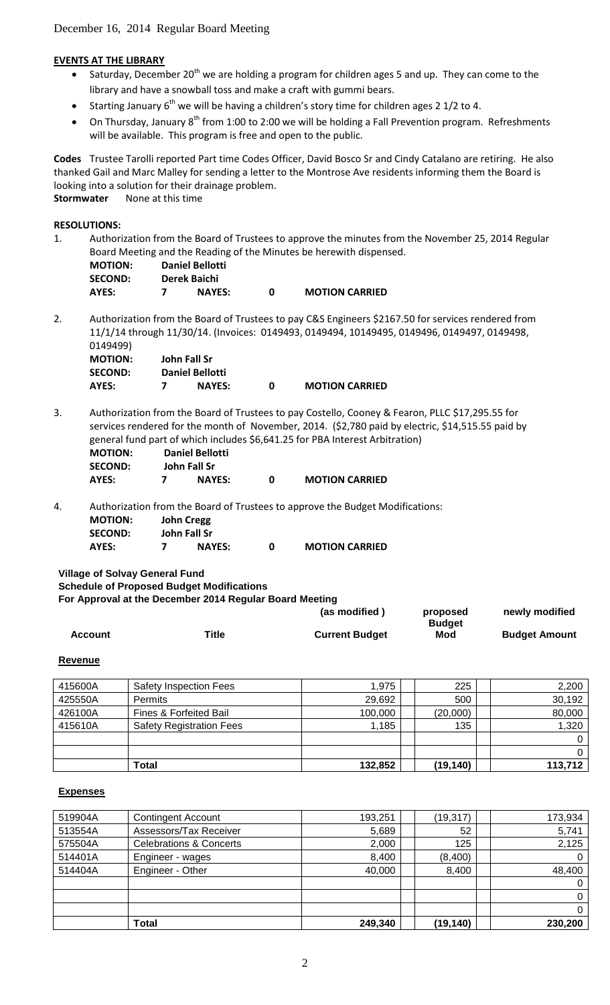## **EVENTS AT THE LIBRARY**

- Saturday, December 20<sup>th</sup> we are holding a program for children ages 5 and up. They can come to the library and have a snowball toss and make a craft with gummi bears.
- Starting January  $6<sup>th</sup>$  we will be having a children's story time for children ages 2 1/2 to 4.
- On Thursday, January 8<sup>th</sup> from 1:00 to 2:00 we will be holding a Fall Prevention program. Refreshments will be available. This program is free and open to the public.

**Codes** Trustee Tarolli reported Part time Codes Officer, David Bosco Sr and Cindy Catalano are retiring. He also thanked Gail and Marc Malley for sending a letter to the Montrose Ave residents informing them the Board is looking into a solution for their drainage problem. **Stormwater** None at this time

# **RESOLUTIONS:**

1. Authorization from the Board of Trustees to approve the minutes from the November 25, 2014 Regular Board Meeting and the Reading of the Minutes be herewith dispensed.

| <b>MOTION:</b> | Daniel Bellotti |   |                       |
|----------------|-----------------|---|-----------------------|
| <b>SECOND:</b> | Derek Baichi    |   |                       |
| AYES:          | <b>NAYES:</b>   | n | <b>MOTION CARRIED</b> |

2. Authorization from the Board of Trustees to pay C&S Engineers \$2167.50 for services rendered from 11/1/14 through 11/30/14. (Invoices: 0149493, 0149494, 10149495, 0149496, 0149497, 0149498, 0149499)

| <b>MOTION:</b> | John Fall Sr           |                       |
|----------------|------------------------|-----------------------|
| <b>SECOND:</b> | <b>Daniel Bellotti</b> |                       |
| AYES:          | <b>NAYES:</b>          | <b>MOTION CARRIED</b> |

3. Authorization from the Board of Trustees to pay Costello, Cooney & Fearon, PLLC \$17,295.55 for services rendered for the month of November, 2014. (\$2,780 paid by electric, \$14,515.55 paid by general fund part of which includes \$6,641.25 for PBA Interest Arbitration) **MOTION: Daniel Bellotti**

| MOTION:        | Daniel Bellotti |                       |
|----------------|-----------------|-----------------------|
| <b>SECOND:</b> | John Fall Sr    |                       |
| AYES:          | <b>NAYES:</b>   | <b>MOTION CARRIED</b> |

4. Authorization from the Board of Trustees to approve the Budget Modifications: **MOTION: John Cregg SECOND: John Fall Sr**

| AYES:<br><b>NAYES:</b> |  |  |  | <b>MOTION CARRIED</b> |
|------------------------|--|--|--|-----------------------|
|------------------------|--|--|--|-----------------------|

**Village of Solvay General Fund Schedule of Proposed Budget Modifications**

| For Approval at the December 2014 Regular Board Meeting |  |
|---------------------------------------------------------|--|

|         |       | (as modified)         | proposed             | newly modified       |
|---------|-------|-----------------------|----------------------|----------------------|
| Account | Title | <b>Current Budget</b> | <b>Budget</b><br>Mod | <b>Budget Amount</b> |

#### **Revenue**

| 415600A | Safety Inspection Fees          | 1.975   | 225       | 2,200    |
|---------|---------------------------------|---------|-----------|----------|
| 425550A | <b>Permits</b>                  | 29,692  | 500       | 30,192   |
| 426100A | Fines & Forfeited Bail          | 100,000 | (20,000)  | 80,000   |
| 415610A | <b>Safety Registration Fees</b> | 1,185   | 135       | 1,320    |
|         |                                 |         |           | $\Omega$ |
|         |                                 |         |           | 0        |
|         | Total                           | 132,852 | (19, 140) | 113.712  |

#### **Expenses**

| 519904A | <b>Contingent Account</b>          | 193,251 | (19, 317) | 173,934      |
|---------|------------------------------------|---------|-----------|--------------|
| 513554A | Assessors/Tax Receiver             | 5,689   | 52        | 5,741        |
| 575504A | <b>Celebrations &amp; Concerts</b> | 2,000   | 125       | 2,125        |
| 514401A | Engineer - wages                   | 8,400   | (8,400)   | 0            |
| 514404A | Engineer - Other                   | 40,000  | 8,400     | 48,400       |
|         |                                    |         |           | $\mathbf{0}$ |
|         |                                    |         |           | $\mathbf{0}$ |
|         |                                    |         |           | $\mathbf{0}$ |
|         | <b>Total</b>                       | 249,340 | (19, 140) | 230,200      |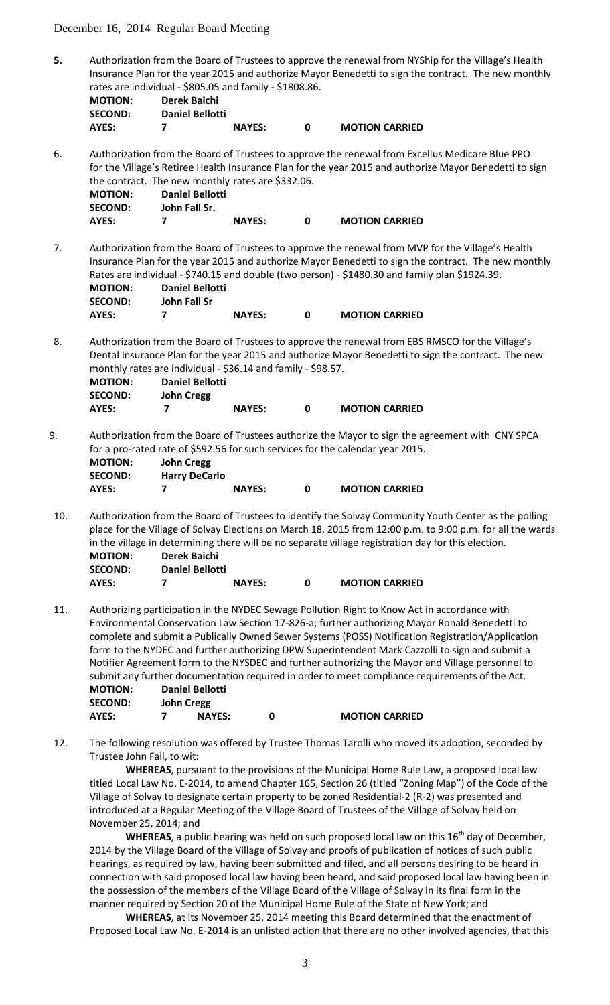December 16, 2014 Regular Board Meeting

**5.** Authorization from the Board of Trustees to approve the renewal from NYShip for the Village's Health Insurance Plan for the year 2015 and authorize Mayor Benedetti to sign the contract. The new monthly rates are individual - \$805.05 and family - \$1808.86.

| <b>MOTION:</b> | Derek Baichi           |               |                       |
|----------------|------------------------|---------------|-----------------------|
| <b>SECOND:</b> | <b>Daniel Bellotti</b> |               |                       |
| AYES:          |                        | <b>NAYES:</b> | <b>MOTION CARRIED</b> |

6. Authorization from the Board of Trustees to approve the renewal from Excellus Medicare Blue PPO for the Village's Retiree Health Insurance Plan for the year 2015 and authorize Mayor Benedetti to sign the contract. The new monthly rates are \$332.06.

| <b>MOTION:</b> | <b>Daniel Bellotti</b> |               |                       |
|----------------|------------------------|---------------|-----------------------|
| <b>SECOND:</b> | John Fall Sr.          |               |                       |
| AYES:          |                        | <b>NAYES:</b> | <b>MOTION CARRIED</b> |

7. Authorization from the Board of Trustees to approve the renewal from MVP for the Village's Health Insurance Plan for the year 2015 and authorize Mayor Benedetti to sign the contract. The new monthly Rates are individual - \$740.15 and double (two person) - \$1480.30 and family plan \$1924.39. **MOTION: Daniel Bellotti**

| .              | Panici Denotu |               |                       |
|----------------|---------------|---------------|-----------------------|
| <b>SECOND:</b> | John Fall Sr  |               |                       |
| AYES:          |               | <b>NAYES:</b> | <b>MOTION CARRIED</b> |

8. Authorization from the Board of Trustees to approve the renewal from EBS RMSCO for the Village's Dental Insurance Plan for the year 2015 and authorize Mayor Benedetti to sign the contract. The new monthly rates are individual - \$36.14 and family - \$98.57.

| <b>MOTION:</b> | <b>Daniel Bellotti</b> |               |                       |
|----------------|------------------------|---------------|-----------------------|
| <b>SECOND:</b> | <b>John Cregg</b>      |               |                       |
| AYES:          |                        | <b>NAYES:</b> | <b>MOTION CARRIED</b> |

9. Authorization from the Board of Trustees authorize the Mayor to sign the agreement with CNY SPCA for a pro-rated rate of \$592.56 for such services for the calendar year 2015.

| <b>MOTION:</b> | John Cregg           |               |                       |
|----------------|----------------------|---------------|-----------------------|
| <b>SECOND:</b> | <b>Harry DeCarlo</b> |               |                       |
| AYES:          |                      | <b>NAYES:</b> | <b>MOTION CARRIED</b> |

10. Authorization from the Board of Trustees to identify the Solvay Community Youth Center as the polling place for the Village of Solvay Elections on March 18, 2015 from 12:00 p.m. to 9:00 p.m. for all the wards in the village in determining there will be no separate village registration day for this election.

| <b>MOTION:</b> | Derek Baichi           |               |                       |
|----------------|------------------------|---------------|-----------------------|
| <b>SECOND:</b> | <b>Daniel Bellotti</b> |               |                       |
| AYES:          |                        | <b>NAYES:</b> | <b>MOTION CARRIED</b> |

11. Authorizing participation in the NYDEC Sewage Pollution Right to Know Act in accordance with Environmental Conservation Law Section 17-826-a; further authorizing Mayor Ronald Benedetti to complete and submit a Publically Owned Sewer Systems (POSS) Notification Registration/Application form to the NYDEC and further authorizing DPW Superintendent Mark Cazzolli to sign and submit a Notifier Agreement form to the NYSDEC and further authorizing the Mayor and Village personnel to submit any further documentation required in order to meet compliance requirements of the Act. **MOTION: Daniel Bellotti**

| . יושו שויו    | Danici Denviu     |                       |
|----------------|-------------------|-----------------------|
| <b>SECOND:</b> | <b>John Cregg</b> |                       |
| AYES:          | <b>NAYES:</b>     | <b>MOTION CARRIED</b> |

12. The following resolution was offered by Trustee Thomas Tarolli who moved its adoption, seconded by Trustee John Fall, to wit:

**WHEREAS**, pursuant to the provisions of the Municipal Home Rule Law, a proposed local law titled Local Law No. E-2014, to amend Chapter 165, Section 26 (titled "Zoning Map") of the Code of the Village of Solvay to designate certain property to be zoned Residential-2 (R-2) was presented and introduced at a Regular Meeting of the Village Board of Trustees of the Village of Solvay held on November 25, 2014; and

**WHEREAS**, a public hearing was held on such proposed local law on this 16<sup>th</sup> day of December, 2014 by the Village Board of the Village of Solvay and proofs of publication of notices of such public hearings, as required by law, having been submitted and filed, and all persons desiring to be heard in connection with said proposed local law having been heard, and said proposed local law having been in the possession of the members of the Village Board of the Village of Solvay in its final form in the manner required by Section 20 of the Municipal Home Rule of the State of New York; and

**WHEREAS**, at its November 25, 2014 meeting this Board determined that the enactment of Proposed Local Law No. E-2014 is an unlisted action that there are no other involved agencies, that this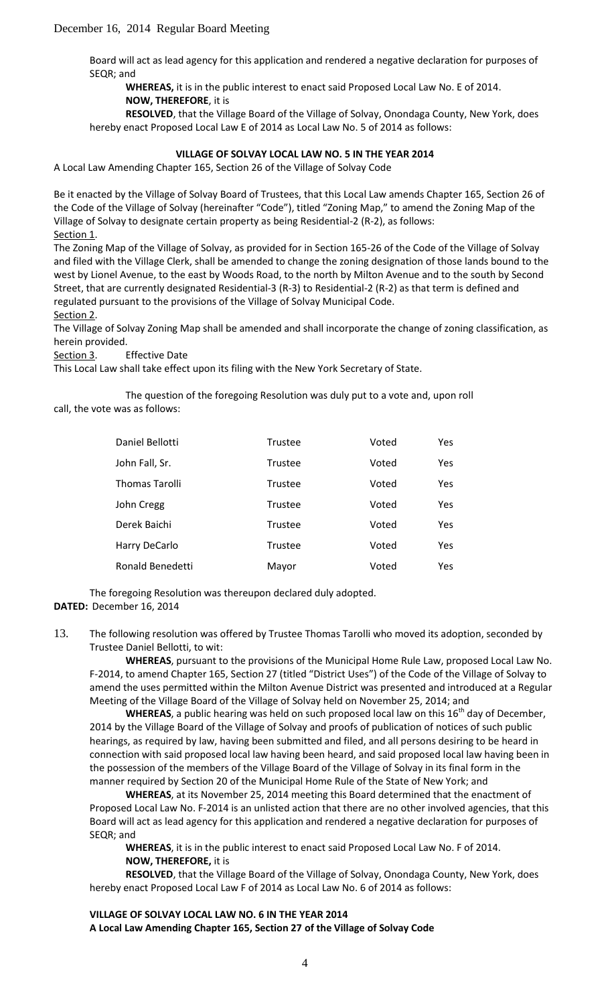Board will act as lead agency for this application and rendered a negative declaration for purposes of SEQR; and

**WHEREAS,** it is in the public interest to enact said Proposed Local Law No. E of 2014. **NOW, THEREFORE**, it is

**RESOLVED**, that the Village Board of the Village of Solvay, Onondaga County, New York, does hereby enact Proposed Local Law E of 2014 as Local Law No. 5 of 2014 as follows:

## **VILLAGE OF SOLVAY LOCAL LAW NO. 5 IN THE YEAR 2014**

A Local Law Amending Chapter 165, Section 26 of the Village of Solvay Code

Be it enacted by the Village of Solvay Board of Trustees, that this Local Law amends Chapter 165, Section 26 of the Code of the Village of Solvay (hereinafter "Code"), titled "Zoning Map," to amend the Zoning Map of the Village of Solvay to designate certain property as being Residential-2 (R-2), as follows: Section 1.

The Zoning Map of the Village of Solvay, as provided for in Section 165-26 of the Code of the Village of Solvay and filed with the Village Clerk, shall be amended to change the zoning designation of those lands bound to the west by Lionel Avenue, to the east by Woods Road, to the north by Milton Avenue and to the south by Second Street, that are currently designated Residential-3 (R-3) to Residential-2 (R-2) as that term is defined and regulated pursuant to the provisions of the Village of Solvay Municipal Code. Section 2.

The Village of Solvay Zoning Map shall be amended and shall incorporate the change of zoning classification, as herein provided.

Section 3. Effective Date

This Local Law shall take effect upon its filing with the New York Secretary of State.

The question of the foregoing Resolution was duly put to a vote and, upon roll call, the vote was as follows:

| Daniel Bellotti       | <b>Trustee</b> | Voted | <b>Yes</b> |
|-----------------------|----------------|-------|------------|
| John Fall, Sr.        | Trustee        | Voted | Yes        |
| <b>Thomas Tarolli</b> | Trustee        | Voted | <b>Yes</b> |
| John Cregg            | Trustee        | Voted | Yes.       |
| Derek Baichi          | <b>Trustee</b> | Voted | Yes.       |
| Harry DeCarlo         | <b>Trustee</b> | Voted | <b>Yes</b> |
| Ronald Benedetti      | Mayor          | Voted | Yes.       |

The foregoing Resolution was thereupon declared duly adopted. **DATED:** December 16, 2014

13. The following resolution was offered by Trustee Thomas Tarolli who moved its adoption, seconded by Trustee Daniel Bellotti, to wit:

**WHEREAS**, pursuant to the provisions of the Municipal Home Rule Law, proposed Local Law No. F-2014, to amend Chapter 165, Section 27 (titled "District Uses") of the Code of the Village of Solvay to amend the uses permitted within the Milton Avenue District was presented and introduced at a Regular Meeting of the Village Board of the Village of Solvay held on November 25, 2014; and

**WHEREAS**, a public hearing was held on such proposed local law on this 16<sup>th</sup> day of December, 2014 by the Village Board of the Village of Solvay and proofs of publication of notices of such public hearings, as required by law, having been submitted and filed, and all persons desiring to be heard in connection with said proposed local law having been heard, and said proposed local law having been in the possession of the members of the Village Board of the Village of Solvay in its final form in the manner required by Section 20 of the Municipal Home Rule of the State of New York; and

**WHEREAS**, at its November 25, 2014 meeting this Board determined that the enactment of Proposed Local Law No. F-2014 is an unlisted action that there are no other involved agencies, that this Board will act as lead agency for this application and rendered a negative declaration for purposes of SEQR; and

**WHEREAS**, it is in the public interest to enact said Proposed Local Law No. F of 2014. **NOW, THEREFORE,** it is

**RESOLVED**, that the Village Board of the Village of Solvay, Onondaga County, New York, does hereby enact Proposed Local Law F of 2014 as Local Law No. 6 of 2014 as follows:

## **VILLAGE OF SOLVAY LOCAL LAW NO. 6 IN THE YEAR 2014**

**A Local Law Amending Chapter 165, Section 27 of the Village of Solvay Code**